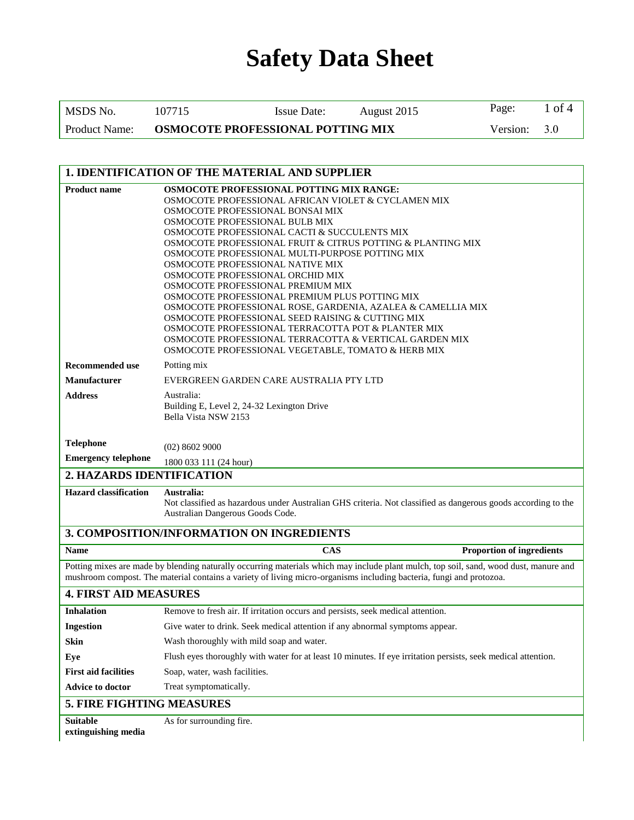| MSDS No.             | 107715                                   | <b>Issue Date:</b> | August 2015 | Page:        | 1 of 4 |
|----------------------|------------------------------------------|--------------------|-------------|--------------|--------|
| <b>Product Name:</b> | <b>OSMOCOTE PROFESSIONAL POTTING MIX</b> |                    |             | Version: 3.0 |        |

| 1. IDENTIFICATION OF THE MATERIAL AND SUPPLIER |                                                                                                                                                                                                                                                                                                                                                                                                                                                                                                                                                                                                                                                                                                                                                                                                 |  |  |  |  |
|------------------------------------------------|-------------------------------------------------------------------------------------------------------------------------------------------------------------------------------------------------------------------------------------------------------------------------------------------------------------------------------------------------------------------------------------------------------------------------------------------------------------------------------------------------------------------------------------------------------------------------------------------------------------------------------------------------------------------------------------------------------------------------------------------------------------------------------------------------|--|--|--|--|
| <b>Product name</b>                            | OSMOCOTE PROFESSIONAL POTTING MIX RANGE:<br>OSMOCOTE PROFESSIONAL AFRICAN VIOLET & CYCLAMEN MIX<br>OSMOCOTE PROFESSIONAL BONSAI MIX<br>OSMOCOTE PROFESSIONAL BULB MIX<br>OSMOCOTE PROFESSIONAL CACTI & SUCCULENTS MIX<br>OSMOCOTE PROFESSIONAL FRUIT & CITRUS POTTING & PLANTING MIX<br>OSMOCOTE PROFESSIONAL MULTI-PURPOSE POTTING MIX<br>OSMOCOTE PROFESSIONAL NATIVE MIX<br>OSMOCOTE PROFESSIONAL ORCHID MIX<br>OSMOCOTE PROFESSIONAL PREMIUM MIX<br>OSMOCOTE PROFESSIONAL PREMIUM PLUS POTTING MIX<br>OSMOCOTE PROFESSIONAL ROSE, GARDENIA, AZALEA & CAMELLIA MIX<br>OSMOCOTE PROFESSIONAL SEED RAISING & CUTTING MIX<br>OSMOCOTE PROFESSIONAL TERRACOTTA POT & PLANTER MIX<br>OSMOCOTE PROFESSIONAL TERRACOTTA & VERTICAL GARDEN MIX<br>OSMOCOTE PROFESSIONAL VEGETABLE, TOMATO & HERB MIX |  |  |  |  |
| <b>Recommended use</b>                         | Potting mix                                                                                                                                                                                                                                                                                                                                                                                                                                                                                                                                                                                                                                                                                                                                                                                     |  |  |  |  |
| <b>Manufacturer</b>                            | EVERGREEN GARDEN CARE AUSTRALIA PTY LTD                                                                                                                                                                                                                                                                                                                                                                                                                                                                                                                                                                                                                                                                                                                                                         |  |  |  |  |
| <b>Address</b>                                 | Australia:<br>Building E, Level 2, 24-32 Lexington Drive<br>Bella Vista NSW 2153                                                                                                                                                                                                                                                                                                                                                                                                                                                                                                                                                                                                                                                                                                                |  |  |  |  |
| <b>Telephone</b>                               | $(02)$ 8602 9000                                                                                                                                                                                                                                                                                                                                                                                                                                                                                                                                                                                                                                                                                                                                                                                |  |  |  |  |
| <b>Emergency telephone</b>                     | 1800 033 111 (24 hour)                                                                                                                                                                                                                                                                                                                                                                                                                                                                                                                                                                                                                                                                                                                                                                          |  |  |  |  |
| 2. HAZARDS IDENTIFICATION                      |                                                                                                                                                                                                                                                                                                                                                                                                                                                                                                                                                                                                                                                                                                                                                                                                 |  |  |  |  |
| <b>Hazard classification</b>                   | Australia:<br>Not classified as hazardous under Australian GHS criteria. Not classified as dangerous goods according to the<br>Australian Dangerous Goods Code.                                                                                                                                                                                                                                                                                                                                                                                                                                                                                                                                                                                                                                 |  |  |  |  |
|                                                | 3. COMPOSITION/INFORMATION ON INGREDIENTS                                                                                                                                                                                                                                                                                                                                                                                                                                                                                                                                                                                                                                                                                                                                                       |  |  |  |  |
| <b>Name</b>                                    | <b>CAS</b><br><b>Proportion of ingredients</b>                                                                                                                                                                                                                                                                                                                                                                                                                                                                                                                                                                                                                                                                                                                                                  |  |  |  |  |
|                                                | Potting mixes are made by blending naturally occurring materials which may include plant mulch, top soil, sand, wood dust, manure and<br>mushroom compost. The material contains a variety of living micro-organisms including bacteria, fungi and protozoa.                                                                                                                                                                                                                                                                                                                                                                                                                                                                                                                                    |  |  |  |  |
| <b>4. FIRST AID MEASURES</b>                   |                                                                                                                                                                                                                                                                                                                                                                                                                                                                                                                                                                                                                                                                                                                                                                                                 |  |  |  |  |
| <b>Inhalation</b>                              | Remove to fresh air. If irritation occurs and persists, seek medical attention.                                                                                                                                                                                                                                                                                                                                                                                                                                                                                                                                                                                                                                                                                                                 |  |  |  |  |
| <b>Ingestion</b>                               | Give water to drink. Seek medical attention if any abnormal symptoms appear.                                                                                                                                                                                                                                                                                                                                                                                                                                                                                                                                                                                                                                                                                                                    |  |  |  |  |
| Skin                                           | Wash thoroughly with mild soap and water.                                                                                                                                                                                                                                                                                                                                                                                                                                                                                                                                                                                                                                                                                                                                                       |  |  |  |  |
| Eye                                            | Flush eyes thoroughly with water for at least 10 minutes. If eye irritation persists, seek medical attention.                                                                                                                                                                                                                                                                                                                                                                                                                                                                                                                                                                                                                                                                                   |  |  |  |  |
| <b>First aid facilities</b>                    | Soap, water, wash facilities.                                                                                                                                                                                                                                                                                                                                                                                                                                                                                                                                                                                                                                                                                                                                                                   |  |  |  |  |
| Advice to doctor                               | Treat symptomatically.                                                                                                                                                                                                                                                                                                                                                                                                                                                                                                                                                                                                                                                                                                                                                                          |  |  |  |  |
|                                                | 5. FIRE FIGHTING MEASURES                                                                                                                                                                                                                                                                                                                                                                                                                                                                                                                                                                                                                                                                                                                                                                       |  |  |  |  |
| <b>Suitable</b><br>extinguishing media         | As for surrounding fire.                                                                                                                                                                                                                                                                                                                                                                                                                                                                                                                                                                                                                                                                                                                                                                        |  |  |  |  |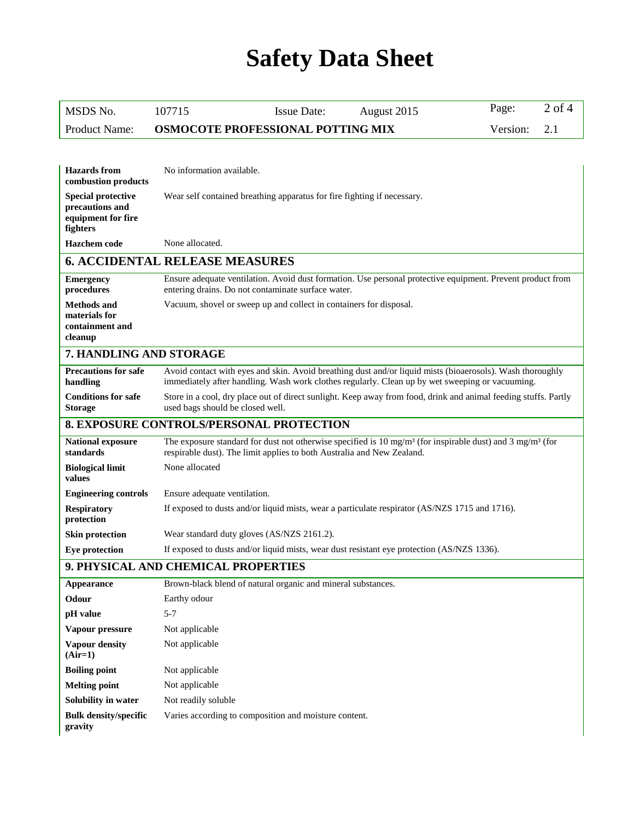| MSDS No.                                                                       | <b>Issue Date:</b><br>August 2015<br>107715                                                                                                                                                                  | Page:    | $2$ of 4 |  |  |
|--------------------------------------------------------------------------------|--------------------------------------------------------------------------------------------------------------------------------------------------------------------------------------------------------------|----------|----------|--|--|
| <b>Product Name:</b>                                                           | OSMOCOTE PROFESSIONAL POTTING MIX                                                                                                                                                                            | Version: | 2.1      |  |  |
|                                                                                |                                                                                                                                                                                                              |          |          |  |  |
| <b>Hazards</b> from<br>combustion products                                     | No information available.                                                                                                                                                                                    |          |          |  |  |
| <b>Special protective</b><br>precautions and<br>equipment for fire<br>fighters | Wear self contained breathing apparatus for fire fighting if necessary.                                                                                                                                      |          |          |  |  |
| <b>Hazchem</b> code                                                            | None allocated.                                                                                                                                                                                              |          |          |  |  |
|                                                                                | <b>6. ACCIDENTAL RELEASE MEASURES</b>                                                                                                                                                                        |          |          |  |  |
| <b>Emergency</b><br>procedures                                                 | Ensure adequate ventilation. Avoid dust formation. Use personal protective equipment. Prevent product from<br>entering drains. Do not contaminate surface water.                                             |          |          |  |  |
| <b>Methods and</b><br>materials for<br>containment and<br>cleanup              | Vacuum, shovel or sweep up and collect in containers for disposal.                                                                                                                                           |          |          |  |  |
| 7. HANDLING AND STORAGE                                                        |                                                                                                                                                                                                              |          |          |  |  |
| <b>Precautions for safe</b><br>handling                                        | Avoid contact with eyes and skin. Avoid breathing dust and/or liquid mists (bioaerosols). Wash thoroughly<br>immediately after handling. Wash work clothes regularly. Clean up by wet sweeping or vacuuming. |          |          |  |  |
| <b>Conditions for safe</b><br><b>Storage</b>                                   | Store in a cool, dry place out of direct sunlight. Keep away from food, drink and animal feeding stuffs. Partly<br>used bags should be closed well.                                                          |          |          |  |  |
|                                                                                | <b>8. EXPOSURE CONTROLS/PERSONAL PROTECTION</b>                                                                                                                                                              |          |          |  |  |
| <b>National exposure</b><br>standards                                          | The exposure standard for dust not otherwise specified is 10 mg/m <sup>3</sup> (for inspirable dust) and 3 mg/m <sup>3</sup> (for<br>respirable dust). The limit applies to both Australia and New Zealand.  |          |          |  |  |
| <b>Biological limit</b><br>values                                              | None allocated                                                                                                                                                                                               |          |          |  |  |
| <b>Engineering controls</b>                                                    | Ensure adequate ventilation.                                                                                                                                                                                 |          |          |  |  |
| <b>Respiratory</b><br>protection                                               | If exposed to dusts and/or liquid mists, wear a particulate respirator (AS/NZS 1715 and 1716).                                                                                                               |          |          |  |  |
| <b>Skin protection</b>                                                         | Wear standard duty gloves (AS/NZS 2161.2).                                                                                                                                                                   |          |          |  |  |
| <b>Eye protection</b>                                                          | If exposed to dusts and/or liquid mists, wear dust resistant eye protection (AS/NZS 1336).                                                                                                                   |          |          |  |  |
| 9. PHYSICAL AND CHEMICAL PROPERTIES                                            |                                                                                                                                                                                                              |          |          |  |  |
| <b>Appearance</b>                                                              | Brown-black blend of natural organic and mineral substances.                                                                                                                                                 |          |          |  |  |
| Odour                                                                          | Earthy odour                                                                                                                                                                                                 |          |          |  |  |
| pH value                                                                       | $5 - 7$                                                                                                                                                                                                      |          |          |  |  |
| Vapour pressure                                                                | Not applicable                                                                                                                                                                                               |          |          |  |  |
| Vapour density<br>$(Air=1)$                                                    | Not applicable                                                                                                                                                                                               |          |          |  |  |
| <b>Boiling point</b>                                                           | Not applicable                                                                                                                                                                                               |          |          |  |  |
| <b>Melting point</b>                                                           | Not applicable                                                                                                                                                                                               |          |          |  |  |
| Solubility in water                                                            | Not readily soluble                                                                                                                                                                                          |          |          |  |  |
| <b>Bulk density/specific</b><br>gravity                                        | Varies according to composition and moisture content.                                                                                                                                                        |          |          |  |  |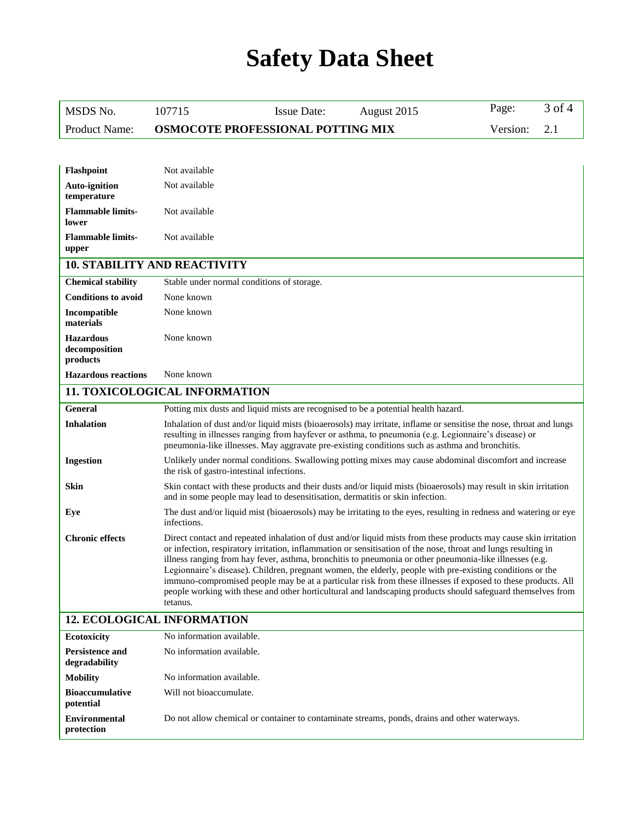| MSDS No.                                      | 107715                                                                                                                                                                                                                                                                                                                       | <b>Issue Date:</b>                                                                                                                                                                                                                                                                                                                                                                                                                                                                                                                                                                                                                                                                        | August 2015 | Page:    | 3 of 4 |
|-----------------------------------------------|------------------------------------------------------------------------------------------------------------------------------------------------------------------------------------------------------------------------------------------------------------------------------------------------------------------------------|-------------------------------------------------------------------------------------------------------------------------------------------------------------------------------------------------------------------------------------------------------------------------------------------------------------------------------------------------------------------------------------------------------------------------------------------------------------------------------------------------------------------------------------------------------------------------------------------------------------------------------------------------------------------------------------------|-------------|----------|--------|
| <b>Product Name:</b>                          |                                                                                                                                                                                                                                                                                                                              | OSMOCOTE PROFESSIONAL POTTING MIX                                                                                                                                                                                                                                                                                                                                                                                                                                                                                                                                                                                                                                                         |             | Version: | 2.1    |
|                                               |                                                                                                                                                                                                                                                                                                                              |                                                                                                                                                                                                                                                                                                                                                                                                                                                                                                                                                                                                                                                                                           |             |          |        |
| Flashpoint                                    | Not available                                                                                                                                                                                                                                                                                                                |                                                                                                                                                                                                                                                                                                                                                                                                                                                                                                                                                                                                                                                                                           |             |          |        |
| <b>Auto-ignition</b>                          | Not available                                                                                                                                                                                                                                                                                                                |                                                                                                                                                                                                                                                                                                                                                                                                                                                                                                                                                                                                                                                                                           |             |          |        |
| temperature                                   |                                                                                                                                                                                                                                                                                                                              |                                                                                                                                                                                                                                                                                                                                                                                                                                                                                                                                                                                                                                                                                           |             |          |        |
| <b>Flammable limits-</b><br>lower             | Not available                                                                                                                                                                                                                                                                                                                |                                                                                                                                                                                                                                                                                                                                                                                                                                                                                                                                                                                                                                                                                           |             |          |        |
| <b>Flammable limits-</b><br>upper             | Not available                                                                                                                                                                                                                                                                                                                |                                                                                                                                                                                                                                                                                                                                                                                                                                                                                                                                                                                                                                                                                           |             |          |        |
| <b>10. STABILITY AND REACTIVITY</b>           |                                                                                                                                                                                                                                                                                                                              |                                                                                                                                                                                                                                                                                                                                                                                                                                                                                                                                                                                                                                                                                           |             |          |        |
| <b>Chemical stability</b>                     |                                                                                                                                                                                                                                                                                                                              | Stable under normal conditions of storage.                                                                                                                                                                                                                                                                                                                                                                                                                                                                                                                                                                                                                                                |             |          |        |
| <b>Conditions to avoid</b>                    | None known                                                                                                                                                                                                                                                                                                                   |                                                                                                                                                                                                                                                                                                                                                                                                                                                                                                                                                                                                                                                                                           |             |          |        |
| Incompatible<br>materials                     | None known                                                                                                                                                                                                                                                                                                                   |                                                                                                                                                                                                                                                                                                                                                                                                                                                                                                                                                                                                                                                                                           |             |          |        |
| <b>Hazardous</b><br>decomposition<br>products | None known                                                                                                                                                                                                                                                                                                                   |                                                                                                                                                                                                                                                                                                                                                                                                                                                                                                                                                                                                                                                                                           |             |          |        |
| <b>Hazardous reactions</b>                    | None known                                                                                                                                                                                                                                                                                                                   |                                                                                                                                                                                                                                                                                                                                                                                                                                                                                                                                                                                                                                                                                           |             |          |        |
| <b>11. TOXICOLOGICAL INFORMATION</b>          |                                                                                                                                                                                                                                                                                                                              |                                                                                                                                                                                                                                                                                                                                                                                                                                                                                                                                                                                                                                                                                           |             |          |        |
| <b>General</b>                                |                                                                                                                                                                                                                                                                                                                              | Potting mix dusts and liquid mists are recognised to be a potential health hazard.                                                                                                                                                                                                                                                                                                                                                                                                                                                                                                                                                                                                        |             |          |        |
| <b>Inhalation</b>                             | Inhalation of dust and/or liquid mists (bioaerosols) may irritate, inflame or sensitise the nose, throat and lungs<br>resulting in illnesses ranging from hayfever or asthma, to pneumonia (e.g. Legionnaire's disease) or<br>pneumonia-like illnesses. May aggravate pre-existing conditions such as asthma and bronchitis. |                                                                                                                                                                                                                                                                                                                                                                                                                                                                                                                                                                                                                                                                                           |             |          |        |
| <b>Ingestion</b>                              | Unlikely under normal conditions. Swallowing potting mixes may cause abdominal discomfort and increase<br>the risk of gastro-intestinal infections.                                                                                                                                                                          |                                                                                                                                                                                                                                                                                                                                                                                                                                                                                                                                                                                                                                                                                           |             |          |        |
| Skin                                          | Skin contact with these products and their dusts and/or liquid mists (bioaerosols) may result in skin irritation<br>and in some people may lead to desensitisation, dermatitis or skin infection.                                                                                                                            |                                                                                                                                                                                                                                                                                                                                                                                                                                                                                                                                                                                                                                                                                           |             |          |        |
| Eye                                           | infections.                                                                                                                                                                                                                                                                                                                  | The dust and/or liquid mist (bioaerosols) may be irritating to the eyes, resulting in redness and watering or eye                                                                                                                                                                                                                                                                                                                                                                                                                                                                                                                                                                         |             |          |        |
| <b>Chronic effects</b>                        | tetanus.                                                                                                                                                                                                                                                                                                                     | Direct contact and repeated inhalation of dust and/or liquid mists from these products may cause skin irritation<br>or infection, respiratory irritation, inflammation or sensitisation of the nose, throat and lungs resulting in<br>illness ranging from hay fever, asthma, bronchitis to pneumonia or other pneumonia-like illnesses (e.g.<br>Legionnaire's disease). Children, pregnant women, the elderly, people with pre-existing conditions or the<br>immuno-compromised people may be at a particular risk from these illnesses if exposed to these products. All<br>people working with these and other horticultural and landscaping products should safeguard themselves from |             |          |        |
| <b>12. ECOLOGICAL INFORMATION</b>             |                                                                                                                                                                                                                                                                                                                              |                                                                                                                                                                                                                                                                                                                                                                                                                                                                                                                                                                                                                                                                                           |             |          |        |
| Ecotoxicity                                   | No information available.                                                                                                                                                                                                                                                                                                    |                                                                                                                                                                                                                                                                                                                                                                                                                                                                                                                                                                                                                                                                                           |             |          |        |
| <b>Persistence and</b><br>degradability       | No information available.                                                                                                                                                                                                                                                                                                    |                                                                                                                                                                                                                                                                                                                                                                                                                                                                                                                                                                                                                                                                                           |             |          |        |
| <b>Mobility</b>                               | No information available.                                                                                                                                                                                                                                                                                                    |                                                                                                                                                                                                                                                                                                                                                                                                                                                                                                                                                                                                                                                                                           |             |          |        |
| <b>Bioaccumulative</b><br>potential           | Will not bioaccumulate.                                                                                                                                                                                                                                                                                                      |                                                                                                                                                                                                                                                                                                                                                                                                                                                                                                                                                                                                                                                                                           |             |          |        |
| <b>Environmental</b><br>protection            |                                                                                                                                                                                                                                                                                                                              | Do not allow chemical or container to contaminate streams, ponds, drains and other waterways.                                                                                                                                                                                                                                                                                                                                                                                                                                                                                                                                                                                             |             |          |        |